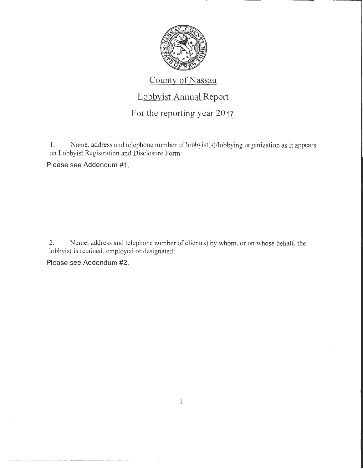

## County of Nassau

### Lobbyist Annual Report

# For the reporting year 2017

1. Name, address and telephone number of lobbyist(s)/lobbying organization as it appears on Lobbyist Registration and Disclosure Form:

Please see Addendum #1.

2. Name, address and telephone number of client(s) by whom, or on whose behalf, the lobbyist is retained, employed or designated:

Please see Addendum #2.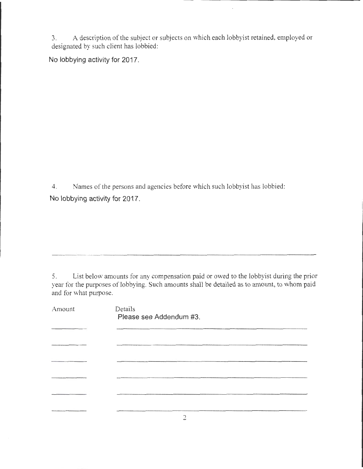3. A description of the subject or subjects on which each lobbyist retained, employed or designated by such client has lobbied:

**No lobbying activity for 2017.** 

4. Names of the persons and agencies before which such lobbyist has lobbied: **No lobbying activity for 2017.** 

5. List below amounts for any compensation paid or owed to the lobbyist during the prior year for the purposes of lobbying. Such amounts shall be detailed as to amount, to whom paid and for what purpose.

| Amount | Details<br>Please see Addendum #3. |
|--------|------------------------------------|
|        |                                    |
|        |                                    |
|        |                                    |
|        |                                    |
|        |                                    |
|        |                                    |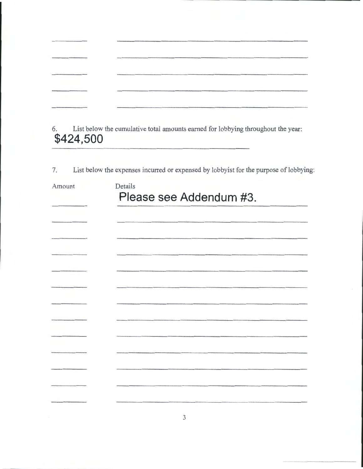| algorithm and the contract of the contract of the contract of the contract of the contract of the contract of |  |
|---------------------------------------------------------------------------------------------------------------|--|
|                                                                                                               |  |
|                                                                                                               |  |
|                                                                                                               |  |
|                                                                                                               |  |
|                                                                                                               |  |
|                                                                                                               |  |
|                                                                                                               |  |
|                                                                                                               |  |
|                                                                                                               |  |
|                                                                                                               |  |
|                                                                                                               |  |
|                                                                                                               |  |
|                                                                                                               |  |
|                                                                                                               |  |
|                                                                                                               |  |
|                                                                                                               |  |
|                                                                                                               |  |
|                                                                                                               |  |
|                                                                                                               |  |
|                                                                                                               |  |
|                                                                                                               |  |
|                                                                                                               |  |
|                                                                                                               |  |
|                                                                                                               |  |
|                                                                                                               |  |
|                                                                                                               |  |
|                                                                                                               |  |
|                                                                                                               |  |
|                                                                                                               |  |
|                                                                                                               |  |
|                                                                                                               |  |
|                                                                                                               |  |
|                                                                                                               |  |
|                                                                                                               |  |
|                                                                                                               |  |
|                                                                                                               |  |
|                                                                                                               |  |
|                                                                                                               |  |
|                                                                                                               |  |
|                                                                                                               |  |

6. List below the cumulative total amounts earned for lobbying throughout the year: **\$424,500** 

7. List below the expenses incurred or expensed by lobbyist for the purpose of lobbying:

| Amount | Details<br>Please see Addendum #3. |  |  |
|--------|------------------------------------|--|--|
|        |                                    |  |  |
|        |                                    |  |  |
|        |                                    |  |  |
|        |                                    |  |  |
|        |                                    |  |  |
|        |                                    |  |  |
|        |                                    |  |  |
|        |                                    |  |  |
|        |                                    |  |  |
|        |                                    |  |  |
|        |                                    |  |  |
|        |                                    |  |  |
|        |                                    |  |  |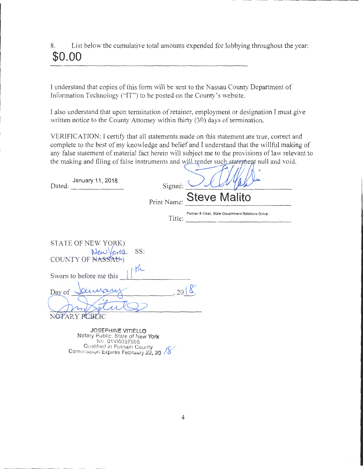8. List below the cumulative total amounts expended for lobbying throughout the year: **\$0.00** 

I understand that copies of this form will be sent to the Nassau County Department of Information Technology ("IT") to be posted on the County's website.

I also understand that upon termination of retainer, employment or designation I must give written notice to the County Attorney within thirty (30) days of termination.

VERIFICATION: I certify that all statements made on this statement are true, correct and complete to the best of my knowledge and belief and I understand that the willful making of any false statement of material fact herein will subject me to the provisions of law relevant to the making and filing of false instruments and will render such statement null and void.

| January 11, 2018<br>Dated:                                                                                                                    | Signed:     | <b>Steve Malito</b>                                         |
|-----------------------------------------------------------------------------------------------------------------------------------------------|-------------|-------------------------------------------------------------|
|                                                                                                                                               | Print Name: |                                                             |
|                                                                                                                                               |             | Partner & Chair, State Government Relations Group<br>Title: |
| STATE OF NEW YORK)<br>New York SS:<br>COUNTY OF NASSAU)<br>the<br>Sworn to before me this                                                     |             |                                                             |
| Day of<br><b>DTARY PUBLIC</b>                                                                                                                 | 2(          |                                                             |
| JOSEPHINE VITIELLO<br>Notary Public. State of New York<br>No. 01VI6037595<br>Qualified in Putnam County<br>Commission Expires February 22, 20 |             |                                                             |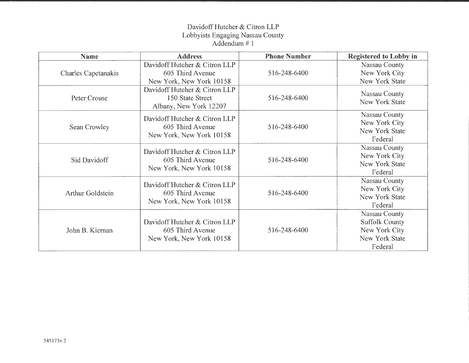### Davidoff Hutcher & Citron LLP Lobbyists Engaging Nassau County Addendum# 1

| <b>Name</b>                | <b>Address</b>                                                                | <b>Phone Number</b> | <b>Registered to Lobby in</b>                                                        |
|----------------------------|-------------------------------------------------------------------------------|---------------------|--------------------------------------------------------------------------------------|
| <b>Charles Capetanakis</b> | Davidoff Hutcher & Citron LLP<br>605 Third Avenue<br>New York, New York 10158 | 516-248-6400        | Nassau County<br>New York City<br>New York State                                     |
| Peter Crouse               | Davidoff Hutcher & Citron LLP<br>150 State Street<br>Albany, New York 12207   | 516-248-6400        | Nassau County<br>New York State                                                      |
| Sean Crowley               | Davidoff Hutcher & Citron LLP<br>605 Third Avenue<br>New York, New York 10158 | 516-248-6400        | Nassau County<br>New York City<br>New York State<br>Federal                          |
| Sid Davidoff               | Davidoff Hutcher & Citron LLP<br>605 Third Avenue<br>New York, New York 10158 | 516-248-6400        | Nassau County<br>New York City<br>New York State<br>Federal                          |
| <b>Arthur Goldstein</b>    | Davidoff Hutcher & Citron LLP<br>605 Third Avenue<br>New York, New York 10158 | 516-248-6400        | Nassau County<br>New York City<br>New York State<br>Federal                          |
| John B. Kiernan            | Davidoff Hutcher & Citron LLP<br>605 Third Avenue<br>New York, New York 10158 | 516-248-6400        | Nassau County<br><b>Suffolk County</b><br>New York City<br>New York State<br>Federal |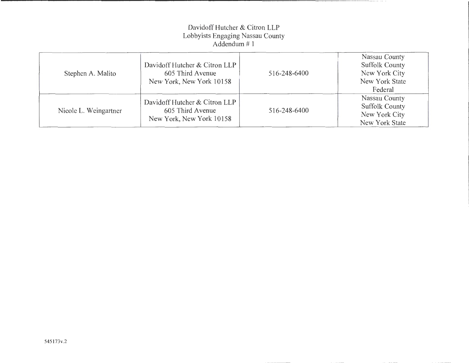### Davidoff Hutcher & Citron LLP Lobbyists Engaging Nassau County Addendum# 1

| Stephen A. Malito     | Davidoff Hutcher & Citron LLP<br>605 Third Avenue<br>New York, New York 10158 | 516-248-6400 | Nassau County<br><b>Suffolk County</b><br>New York City<br>New York State<br>Federal |
|-----------------------|-------------------------------------------------------------------------------|--------------|--------------------------------------------------------------------------------------|
| Nicole L. Weingartner | Davidoff Hutcher & Citron LLP<br>605 Third Avenue<br>New York, New York 10158 | 516-248-6400 | Nassau County<br><b>Suffolk County</b><br>New York City<br>New York State            |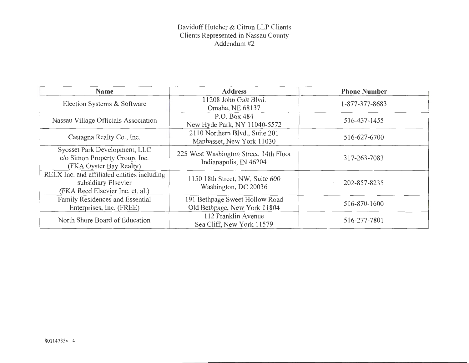#### Davidoff Hutcher & Citron LLP Clients Clients Represented in Nassau County Addendum #2

| <b>Name</b>                                                                                            | <b>Address</b>                                                   | <b>Phone Number</b> |
|--------------------------------------------------------------------------------------------------------|------------------------------------------------------------------|---------------------|
| Election Systems & Software                                                                            | 11208 John Galt Blvd.<br>Omaha, NE 68137                         | 1-877-377-8683      |
| Nassau Village Officials Association                                                                   | P.O. Box 484<br>New Hyde Park, NY 11040-5572                     | 516-437-1455        |
| Castagna Realty Co., Inc.                                                                              | 2110 Northern Blvd., Suite 201<br>Manhasset, New York 11030      | 516-627-6700        |
| Syosset Park Development, LLC<br>c/o Simon Property Group, Inc.<br>(FKA Oyster Bay Realty)             | 225 West Washington Street, 14th Floor<br>Indianapolis, IN 46204 | 317-263-7083        |
| RELX Inc. and affiliated entities including<br>subsidiary Elsevier<br>(FKA Reed Elsevier Inc. et. al.) | 1150 18th Street, NW, Suite 600<br>Washington, DC 20036          | 202-857-8235        |
| Family Residences and Essential<br>Enterprises, Inc. (FREE)                                            | 191 Bethpage Sweet Hollow Road<br>Old Bethpage, New York 11804   | 516-870-1600        |
| North Shore Board of Education                                                                         | 112 Franklin Avenue<br>Sea Cliff, New York 11579                 | 516-277-7801        |

**State Comment**